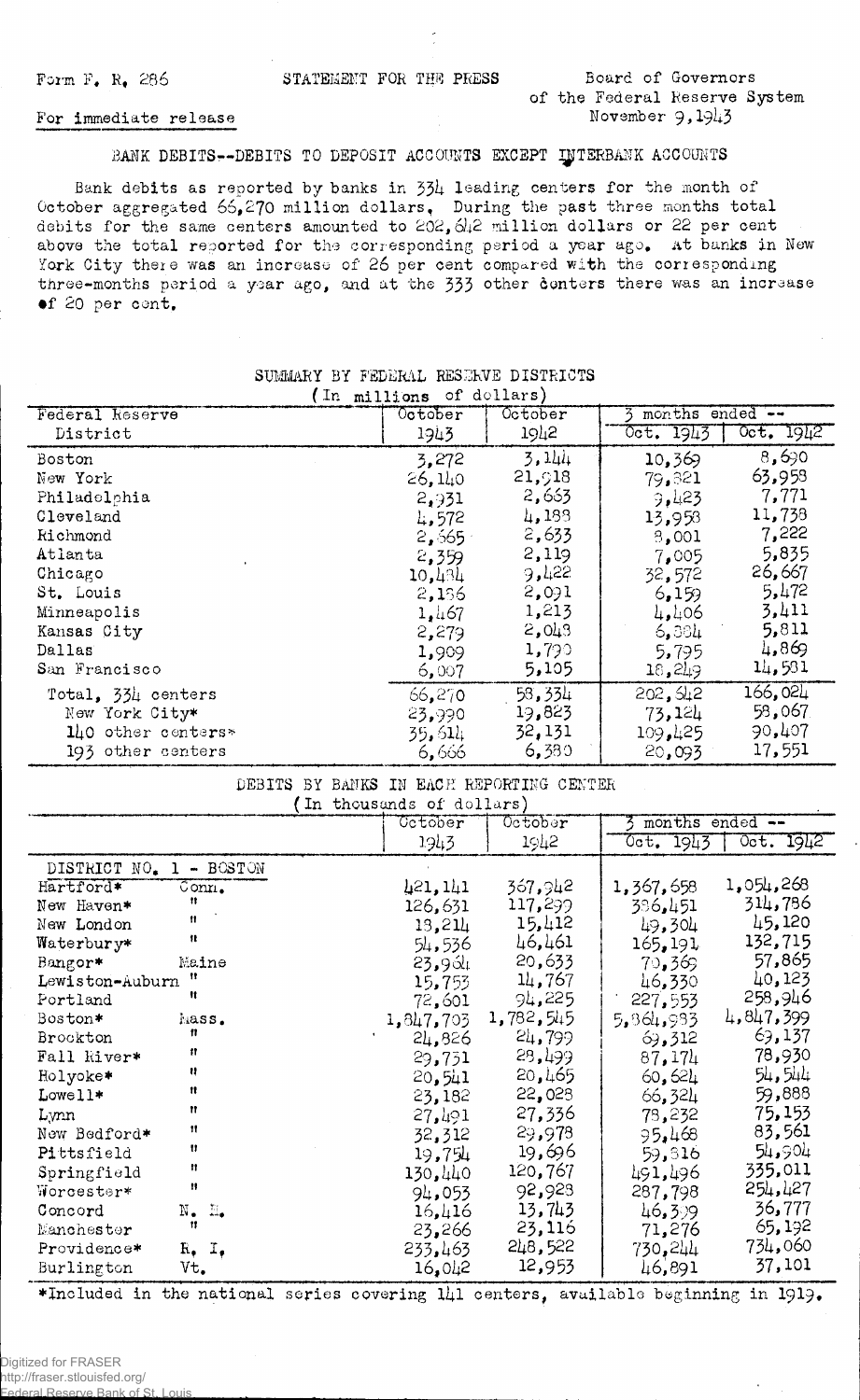STATEMENT FOR THE PRESS

Board of Governors of the Federal Reserve System November 9.1943

#### For immediate release

#### BANK DEBITS--DEBITS TO DEPOSIT ACCOUNTS EXCEPT INTERBANK ACCOUNTS

Bank debits as reported by banks in 334 leading centers for the month of October aggregated 66,270 million dollars. During the past three months total debits for the same centers amounted to 202, 642 million dollars or 22 per cent above the total reported for the corresponding period a year ago. At banks in New York City there was an increase of 26 per cent compared with the corresponding three-months period a year ago, and at the 333 other conters there was an increase of 20 per cent.

| (In millions of dollars) |                                          |        |           |           |  |  |
|--------------------------|------------------------------------------|--------|-----------|-----------|--|--|
| Federal Reserve          | months ended --<br>October<br>$0$ ctober |        |           |           |  |  |
| District                 | 1943                                     | 1942   | Oct. 1943 | Oct. 1942 |  |  |
| Boston                   | 3,272                                    | 3,144  | 10,369    | 8,690     |  |  |
| New York                 | 26,140                                   | 21,918 | 79,321    | 63,958    |  |  |
| Philadelphia             | 2,931                                    | 2,663  | 9.423     | 7,771     |  |  |
| Cleveland                | 4.572                                    | 4,188  | 13,958    | 11,738    |  |  |
| Richmond                 | 2,565                                    | 2,633  | 3,001     | 7,222     |  |  |
| Atlanta                  | 2,359                                    | 2,119  | 7,005     | 5,835     |  |  |
| Chicago                  | 10,434                                   | 9,422  | 32,572    | 26,667    |  |  |
| St. Louis                | 2,136                                    | 2,091  | 6,159     | 5,472     |  |  |
| Minneapolis              | 1,467                                    | 1,213  | 4,406     | 3,411     |  |  |
| Kansas City              | 2,279                                    | 2,043  | 6,384     | 5,811     |  |  |
| Dallas                   | 1,909                                    | 1,790  | 5,795     | 4,869     |  |  |
| San Francisco            | 6,007                                    | 5,105  | 18,249    | 14,581    |  |  |
| Total, 334 centers       | 66,270                                   | 58,334 | 202, 512  | 166,024   |  |  |
| New York City*           | 23,990                                   | 19,823 | 73,124    | 58,067    |  |  |
| 140 other centers*       | 35,614                                   | 32,131 | 109,425   | 90,407    |  |  |
| 193 other centers        | 6,666                                    | 6,380  | 20,093    | 17,551    |  |  |

## SUMMARY BY FEDERAL RESERVE DISTRICTS

<u>- La marginal de Montenando de la margina</u>

| DEBITS.<br>BY BANKS<br>IN EACH REPORTING CENTER |                            |                           |           |                       |           |  |
|-------------------------------------------------|----------------------------|---------------------------|-----------|-----------------------|-----------|--|
|                                                 |                            | (In thousands of dollars) |           |                       |           |  |
|                                                 |                            | Cetober                   | October   | months ended --<br>s. |           |  |
|                                                 |                            | 1943                      | 1942      | 0ct. 1943             | Oct. 1942 |  |
| DISTRICT NO.                                    | $-$ BOSTON<br>$\mathbf{1}$ |                           |           |                       |           |  |
| Hartford*                                       | Conn.                      | 421, 141                  | 367,942   | 1,367,658             | 1,054,268 |  |
| New Haven*                                      | n                          | 126,631                   | 117,299   | 396,451               | 314,786   |  |
| New London                                      | Ħ                          | 13,214                    | 15,412    | 49,304                | 45,120    |  |
| Waterbury*                                      | Ħ                          | 54,536                    | 46,461    | 165, 191              | 132,715   |  |
| Bangor*                                         | Maine                      | 23,964                    | 20,633    | 70,369                | 57,865    |  |
| Lewiston-Auburn                                 | 11                         | 15,753                    | 14,767    | 46,330                | 40,123    |  |
| Portland                                        | Ħ                          | 72,601                    | 94,225    | 227,553               | 258,946   |  |
| Boston*                                         | hass.                      | 1,847,703                 | 1,782,545 | 5,364,933             | 4,847,399 |  |
| Brockton                                        | n                          | 24,826                    | 24,799    | 69,312                | 69,137    |  |
| Fall kiver*                                     | 11                         | 29,731                    | 28,499    | 87,174                | 78,930    |  |
| Holyoke*                                        | 88                         | 20,541                    | 20,465    | 60,621                | 54,544    |  |
| Lower                                           | 11                         | 23,182                    | 22,028    | 66,324                | 59,888    |  |
| Lynn                                            | Ħ                          | 27,491                    | 27,336    | 78,232                | 75,153    |  |
| New Bedford*                                    | Ħ                          | 32,312                    | 29,978    | 95,468                | 83,561    |  |
| Pittsfield                                      | Ħ                          | 19,754                    | 19,696    | 59,316                | 54,904    |  |
| Springfield                                     | n                          | 130,440                   | 120,767   | 491,496               | 335,011   |  |
| Worcester*                                      | 11                         | 94,053                    | 92,923    | 287,798               | 254,427   |  |
| Concord                                         | N.<br>- 11.                | 16,416                    | 13,743    | 46,399                | 36,777    |  |
| Manchester                                      | n                          | 23,266                    | 23,116    | 71,276                | 65,192    |  |
| Providence*                                     | $R_7$ , $I_7$              | 233,463                   | 248,522   | 730,244               | 734,060   |  |
| Burlington                                      | Vt.                        | 16,042                    | 12,953    | 46,891                | 37,101    |  |

\*Included in the national series covering 141 centers, available beginning in 1919.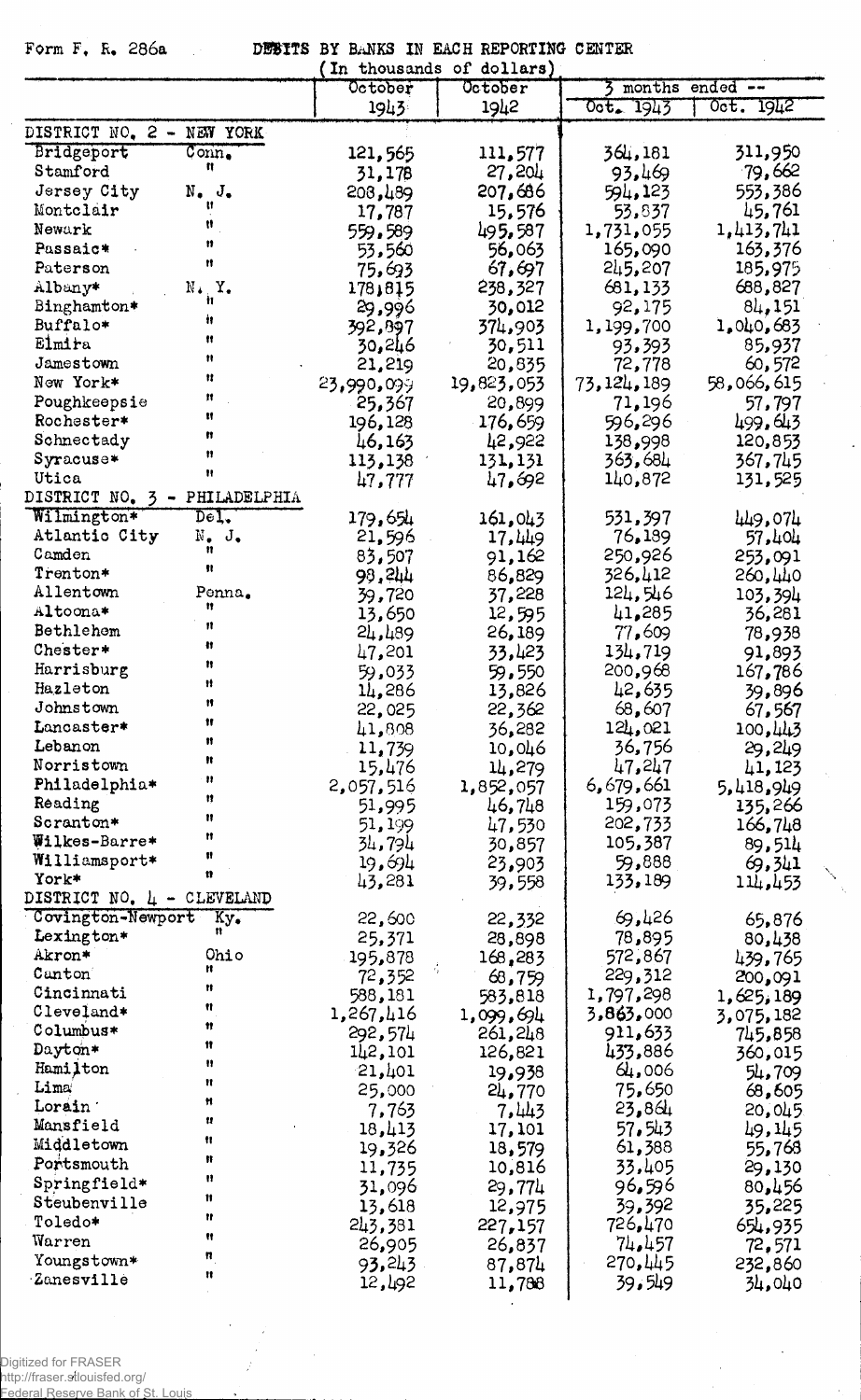$\cdot$ 

Form F. R. 286a DEBITS BY BANKS IN EACH REPORTING CENTER

|                                                       | In thousands of dollars) |            |              |                 |
|-------------------------------------------------------|--------------------------|------------|--------------|-----------------|
|                                                       | October                  | October    |              | months ended -- |
|                                                       | 1943                     | 1942       | Oct. 1943    | Oct. 1942       |
| DISTRICT NO. 2 - NEW YORK                             |                          |            |              |                 |
| Bridgeport<br>$Conn_{\bullet}$                        | 121,565                  | 111,577    | 364,181      | 311,950         |
| n<br>Stamford                                         | 31,178                   | 27,204     | 93,469       | 79,662          |
| Jersey City<br>$N_{\bullet}$ $J_{\bullet}$            | 203,489                  | 207,686    | 594,123      | 553,386         |
| Ħ<br>Montclair                                        | 17,787                   | 15,576     | 53,837       | 45,761          |
| Ħ<br>Newark                                           | 559,589                  | 495,587    | 1,731,055    | 1,413,741       |
| n<br>Passaic*                                         | 53,560                   | 56,063     | 165,090      | 163,376         |
| Ħ<br>Paterson                                         | 75,693                   | 67,697     | 245,207      | 185,975         |
| Albany*<br>$N_{\bullet}$ $Y_{\bullet}$                | 178,815                  | 238,327    | 681,133      | 688,827         |
| Ħ.<br>Binghamton*                                     | 29,996                   | 30,012     | 92,175       | 84,151          |
| 'n<br>Buffalo*                                        | 392,897                  | 374,903    | 1,199,700    | 1,040,683       |
| Ħ<br>Elmira                                           | 30,246                   | 30,511     | 93,393       | 85,937          |
| Ħ<br>Jamestown                                        | 21,219                   | 20,835     | 72,778       | 60,572          |
| Ħ<br>New York*                                        | 23,990,099               | 19,823,053 | 73, 124, 189 | 58,066,615      |
| Ħ<br>Poughkeepsie                                     | 25,367                   | 20,899     | 71,196       | 57,797          |
| Ħ<br>Rochester*                                       | 196,128                  | 176,659    | 596,296      | 499.643         |
| Ħ<br>Schnectady                                       | 46,163                   | 42,922     | 138,998      | 120,853         |
| Ħ<br>Syracuse*                                        | 113,138                  |            | 363,684      | 367,745         |
| Ħ<br>Utica                                            |                          | 131, 131   | 140,872      | 131,525         |
| DISTRICT NO. 3 - PHILADELPHIA                         | 47,777                   | 47,692     |              |                 |
| Wilmington*<br>$\overline{\texttt{Del}}$ .            |                          |            |              |                 |
| Atlantic City<br>$N_{\bullet}$ J.                     | 179,654                  | 161,043    | 531,397      | 449,074         |
| n<br>Camden                                           | 21,596                   | 17,449     | 76,189       | 57,404          |
| Ħ<br>Trenton*                                         | 83,507                   | 91,162     | 250,926      | 253,091         |
| Allentown<br>Penna.                                   | 99,244                   | 86,829     | 326,412      | 260,440         |
| n<br>Altoona*                                         | 39,720                   | 37,228     | 124,546      | 103,394         |
| n                                                     | 13,650                   | 12,595     | 41,285       | 36,281          |
| Bethlehem<br>ŧı                                       | 24,489                   | 26,189     | 77,609       | 78,938          |
| Chester*<br>Ħ                                         | 47,201                   | 33,423     | 134,719      | 91,893          |
| Harrisburg<br>Ħ                                       | 59,033                   | 59,550     | 200,968      | 167,786         |
| Hazleton<br>Ħ                                         | 14,286                   | 13,826     | 42,635       | 39,896          |
| Johnstown<br>Ħ                                        | 22,025                   | 22,362     | 68,607       | 67,567          |
| Lancaster*<br>Ħ                                       | 41,808                   | 36,282     | 124,021      | 100,443         |
| Lebanon<br>Ħ                                          | 11,739                   | 10,046     | 36,756       | 29,249          |
| Norristown<br>Ħ                                       | 15,476                   | 14,279     | 47,247       | 41,123          |
| Philadelphia*<br>Ħ                                    | 2,057,516                | 1,852,057  | 6,679,661    | 5,418,949       |
| Reading<br>Ħ                                          | 51,995                   | 46,748     | 159,073      | 135,266         |
| Scranton*<br>Ħ                                        | 51,199                   | 47,530     | 202,733      | 166,748         |
| Wilkes-Barre*<br>Ħ                                    | 34,794                   | 30,857     | 105,387      | 89,514          |
| Williamsport*<br>n                                    | 19,694                   | 23,903     | 59,888       | 69,341          |
| York*                                                 | 43,281                   | 39,558     | 133,189      | 114,453         |
| DISTRICT NO. 4 - CLEVELAND                            |                          |            |              |                 |
| Covington-Newport<br>$\overline{\text{Ky}_{\bullet}}$ | 22,600                   | 22,332     | 69,426       | 65,876          |
| Lexington*                                            | 25,371                   | 28,898     | 78,895       | 80,438          |
| Akron*<br>Ohio<br>n                                   | 195,878                  | 168,283    | 572,867      | 439,765         |
| Canton<br>Ħ                                           | 72,352                   | 68,759     | 229,312      | 200,091         |
| Cincinnati<br>Ħ                                       | 588,181                  | 583,818    | 1,797,298    | 1,625,189       |
| Cleveland*<br>11                                      | 1,267,416                | 1,099,694  | 3,863,000    | 3,075,182       |
| Columbus*<br>Ħ                                        | 292,574                  | 261,248    | 911,633      | 745,858         |
| Dayton*<br>Ħ                                          | 142,101                  | 126,821    | 433,886      | 360,015         |
| Hamilton<br>Ħ                                         | 21,401                   | 19,938     | 64,006       | 54,709          |
| Lima<br>Ħ                                             | 25,000                   | 24,770     | 75,650       | 68,605          |
| Lorain '<br>11                                        | 7,763                    | 7,443      | 23,864       | 20,045          |
| Mansfield<br>n                                        | 18,413                   | 17,101     | 57,543       | 49,145          |
| Middletown                                            | 19,326                   | 18,579     | 61,388       | 55,768          |
| ₩<br>Portsmouth                                       | 11,735                   | 10,816     | 33,405       | 29,130          |
| Ħ<br>Springfield*                                     | 31,096                   | 29,774     | 96,596       | 80,456          |
| Ħ<br>Steubenville                                     | 13,618                   | 12,975     | 39,392       | 35,225          |
| Ħ<br>Toledo*                                          | 243,381                  | 227,157    | 726,470      | 654,935         |
| Ħ<br>Warren                                           | 26,905                   | 26,837     | 74,457       | 72,571          |
| n<br>Youngstown*                                      | 93,243                   | 87,874     | 270,445      | 232,860         |
| 11<br><b>Zanesville</b>                               | 12,492                   | 11,788     | 39,549       | 34,040          |
|                                                       |                          |            |              |                 |

 $\hat{\lambda}_k$ 

Digitized for FRASER<br>http://fraser.stlouisfed.org/<br>Federal Reserve Bank of St. Louis.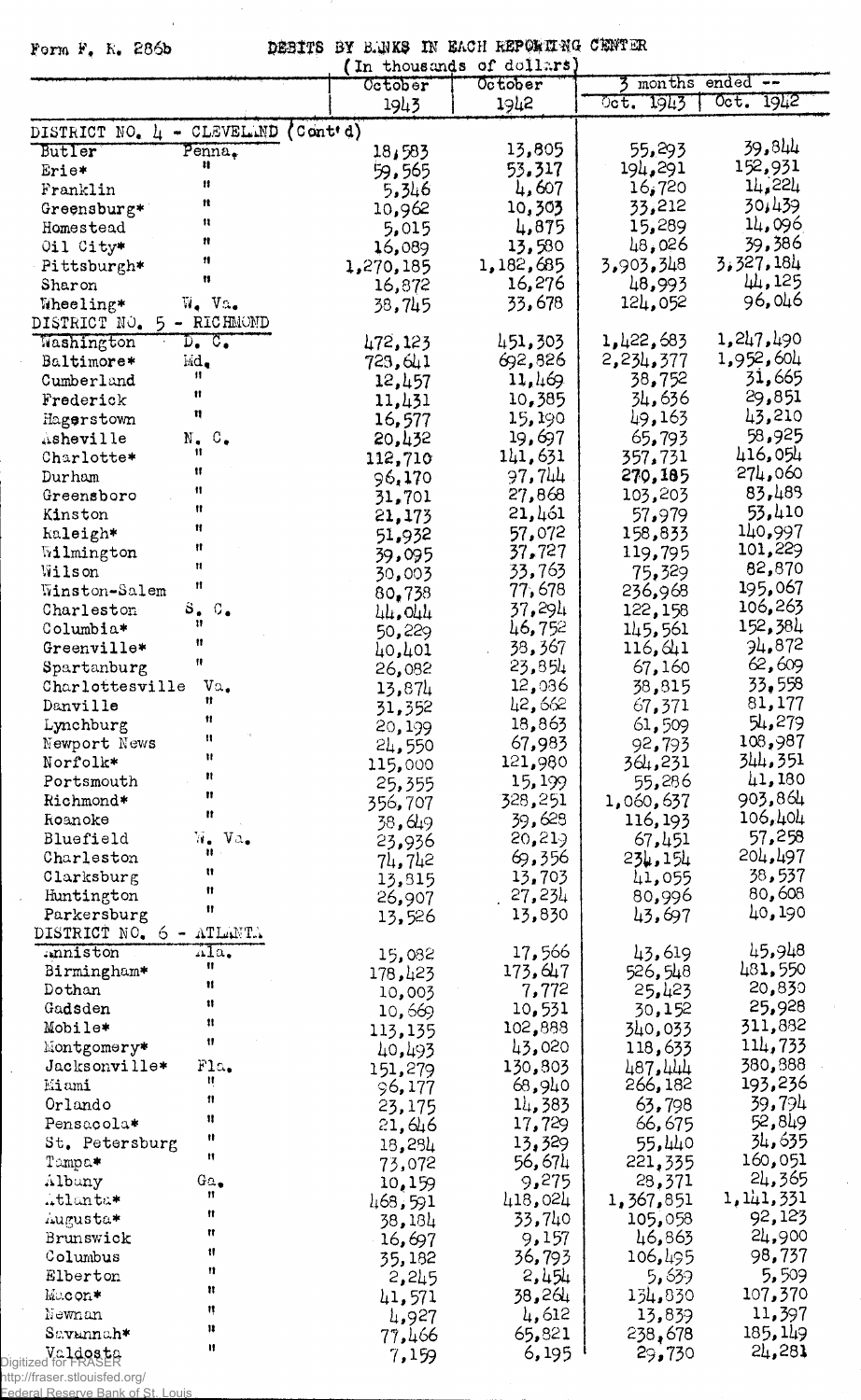Form F. R. 286b

 $\bar{x}$ 

DEBITS BY B.UKS IN EACH REPORTING CENTER (In thousands of dollars)

|                                                                       |                 | IN fuonsmude of doffwie |                   |                              |
|-----------------------------------------------------------------------|-----------------|-------------------------|-------------------|------------------------------|
|                                                                       | October         | October                 |                   | months ended --              |
|                                                                       | 1943            | 1942                    | 1943<br>$0$ ct.   | Oct. 1942                    |
| $\text{Cont}(d)$<br>DISTRICT NO. 4 - CLEVEL.ND                        |                 |                         |                   |                              |
| Butler<br>Penna.                                                      | 18,583          | 13,805                  | 55,293            | 39,844                       |
| Ħ<br>Erie*                                                            | 59,565          | 53.317                  | 194,291           | 152,931                      |
| $\mathbf{H}$<br>Franklin                                              | 5,346           | 4,607                   | 16,720            | 14,224                       |
| Ħ<br>Greensburg*                                                      |                 | 10,303                  | 33,212            | 30,439                       |
| n                                                                     | 10,962          |                         | 15,289            | 14,096                       |
| Homestead<br>n                                                        | 5,015           | 4,875                   | 48,026            | 39,386                       |
| Oil City*<br>Ħ                                                        | 16,089          | 13,580                  |                   | 3,327,184                    |
| Pittsburgh*<br>$\mathbf{H}$                                           | 1,270,185       | 1,182,685               | 3,903,348         | 44,125                       |
| Sharon                                                                | 16,872          | 16,276                  | 48,993            | 96,046                       |
| $W_{\bullet}$ Va.<br>Wheeling*                                        | 38,745          | 33,678                  | 124,052           |                              |
| DISTRICT NO.<br>5 - RICHMOND                                          |                 |                         |                   |                              |
| Washington<br>$D_{\bullet}$ $C_{\bullet}$                             | 472,123         | 451,303                 | 1,422,683         | 1,247,490                    |
| Baltimore*<br>Md.                                                     | 723,641         | 692,826                 | 2,234,377         | 1,952,604                    |
| n<br>Cumberland                                                       | 12,457          | 11,469                  | 38,752            | 31,665                       |
| Ħ<br>Frederick                                                        | 11,431          | 10,385                  | 34,636            | 29,851                       |
| Ħ<br>Hagerstown                                                       | 16,577          | 15,190                  | 49,163            | 43,210                       |
| $N_{\bullet}$ $C_{\bullet}$<br>Asheville                              | 20,432          | 19,697                  | 65,793            | 58,925                       |
| Ħ<br>Charlotte*                                                       | 112,710         | 141,631                 | 357,731           | 416,054                      |
| Ħ<br>Durham                                                           | 96,170          | 97,744                  | 270,185           | 274,060                      |
| Ħ<br>Greensboro                                                       | 31,701          | 27,868                  | 103,203           | 83,489                       |
| Ħ<br>Kinston                                                          | 21,173          | 21,461                  | 57,979            | 53,410                       |
| Ħ<br>kaleigh*                                                         | 51,932          | 57,072                  | 158,833           | 140,997                      |
| Ħ<br>Wilmington                                                       | 39,095          | 37,727                  | 119,795           | 101,229                      |
| $\mathbf{H}$<br>Wilson                                                | 30,003          | 33,763                  | 75,329            | 82,870                       |
| Ħ<br>Winston-Salem                                                    | 80,738          | 77,678                  | 236,968           | 195,067                      |
| $s_{\bullet}$<br>$\mathbb{C}_{\bullet}$<br>Charleston                 |                 | 37,294                  | 122,158           | 106,263                      |
| Ħ<br>Columbia*                                                        | 44,044          | 46,752                  | 145,561           | 152,384                      |
| Ħ<br>Greenville*                                                      | 50,229          | 38,367                  |                   | 34,872                       |
| Ħ                                                                     | 40,401          |                         | 116, 641          | 62,609                       |
| Spartanburg                                                           | 26,082          | 23,854                  | 67,160            | 33,558                       |
| $\mathtt{Va}_\bullet$<br>Charlottesville<br>Ħ                         | 13,874          | 12,036                  | 38,815            |                              |
| Danville<br>Ħ                                                         | 31,352          | 42,662                  | 67,371            | 81,177                       |
| Lynchburg<br>n                                                        | 20,199          | 18,863                  | 61,509            | 54,279                       |
| Newport News<br>$\pmb{\mathfrak{m}}$                                  | 24,550          | 67,983                  | 92,793            | 108,987                      |
| Norfolk*                                                              | 115,000         | 121,980                 | 364,231           | 344,351                      |
| n<br>Portsmouth                                                       | 25,355          | 15,199                  | 55,286            | 41,180                       |
| 11<br>Richmond*                                                       | 356,707         | 328,251                 | 1,060,637         | 903,864                      |
| $\mathbf{r}$<br>Roanoke                                               | 38,649          | 39,628                  | 116,193           | 106,404                      |
| W.<br>Bluefield<br>$V_{\alpha}$                                       | 23,936          | 20,219                  | 67,451            | 57,258                       |
| 41<br>Charleston                                                      | 74,742          | 69,356                  | 234,154           | 204,497                      |
| Ħ<br>Clarksburg                                                       | 13,815          | 13,703                  | 41,055            | 38,537                       |
| n<br>Huntington                                                       | 26,907          | 27,234                  | 80,996            | 80,608                       |
| 11<br>Parkersburg                                                     | 13,526          | 13,830                  | 43,697            | 40,190                       |
| DISTRICT NO. 6<br>ATLANTA                                             |                 |                         |                   |                              |
| ala.<br>.mniston                                                      | 15,082          | 17,566                  | 43,619            | 45,948                       |
| Ħ<br>Birmingham*                                                      | 178,423         | 173,647                 | 526,548           | 481,550                      |
| 11<br>Dothan                                                          | 10,003          | 7,772                   | 25,423            | 20,830                       |
| $\mathbf{1}$<br>Gadsden                                               | 10,669          | 10,531                  | 30,152            | 25,928                       |
| 11<br>Mobile*                                                         | 113,135         | 102,888                 | 340,033           | 311,882                      |
| 11<br>Montgomery*                                                     |                 | 43,020                  | 118,633           | 114,733                      |
| Fla.<br>Jacksonville*                                                 | 40,493          | 130,803                 | 487,444           | 380,888                      |
| Ħ<br>Miami                                                            | 151,279         | 68,940                  | 266,182           | 193,236                      |
| 11                                                                    | 96,177          |                         |                   | 39,794                       |
| Orlando<br>Ħ                                                          | 23,175          | 14,383                  | 63,798            | 52,849                       |
| Pensacola*<br>Ħ                                                       | 21,646          | 17,729                  | 66,675            | 34,635                       |
| St. Petersburg<br>11                                                  | 18,284          | 13,329                  | 55,440            |                              |
| Tampa*                                                                | 73,072          | 56,674                  | 221,335           | 160,051                      |
| Albany<br>$G\alpha_{\bullet}$<br>Ħ                                    | 10,159          | 9,275                   | 28,371            | 24,365                       |
| Atlanta*<br>11                                                        | 468,591         | 418,024                 | 1,367,851         | 1, 141, 331                  |
| Augusta*                                                              | 38,184          | 33,740                  | 105,058           | 92,123                       |
| Ħ<br>Brunswick                                                        | 16,697          | 9,157                   | 46,863            | 24,900                       |
| Ħ<br>Columbus                                                         | 35,182          | 36,793                  | 106,495           | 98,737                       |
|                                                                       | 2,245           | 2,454                   | 5,639             | 5,509                        |
| Ħ<br>Elberton                                                         |                 |                         | 134,830           | 107,370                      |
| n<br>Macon*                                                           |                 |                         |                   |                              |
| ņ                                                                     | 41,571          | 38,264                  |                   |                              |
| Newnan<br>Ħ                                                           | 4,927           | 4,612                   | 13,839            |                              |
| Savannah*<br>$\mathbf{u}$<br>Ve <b>ldosta</b><br>Digitized for FRASER | 77,466<br>7,159 | 65,821<br>6,195         | 238,678<br>29,730 | 11,397<br>185, 149<br>24,281 |

 $\hat{\mathcal{A}}$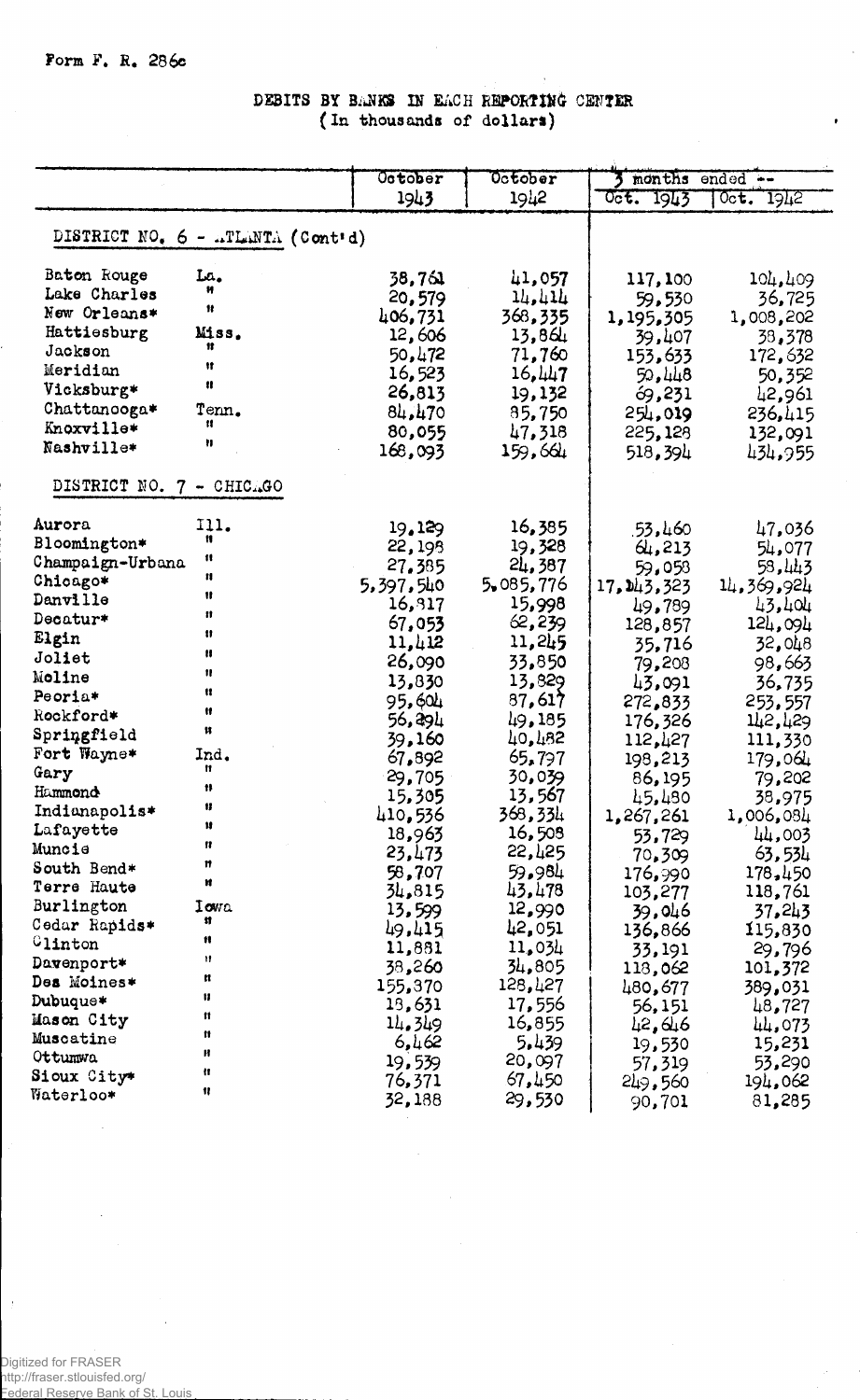### DEBITS BY BANKS IN EACH REPORTING CENTER (In thousands of dollars)

|                                 |                                                | October   | October   | months ended -- |              |
|---------------------------------|------------------------------------------------|-----------|-----------|-----------------|--------------|
|                                 |                                                | 1943      | 1942      | Oct. 1943       | $0c$ t. 1942 |
|                                 |                                                |           |           |                 |              |
|                                 | DISTRICT NO. $6 - \pi T \text{LINTA}$ (Cont'd) |           |           |                 |              |
| Baton Rouge                     | La.                                            | 38,761    | 41,057    | 117,100         | 104,409      |
| Lake Charles                    |                                                | 20,579    | 14,414    | 59,530          | 36,725       |
| New Orleans*                    | 11                                             | 406,731   | 368,335   | 1,195,305       | 1,008,202    |
| Hattiesburg                     | Miss.                                          | 12,606    | 13,864    | 39,407          | 38,378       |
| Jackson                         | Ħ                                              | 50,472    | 71,760    | 153,633         | 172,632      |
| Meridian                        | Ħ                                              | 16,523    | 16,447    | 50,448          | 50,352       |
| Vicksburg*                      | 11                                             | 26,813    | 19,132    | 69,231          | 42,961       |
| Chattanooga*                    | Tenn.                                          | 84,470    | 85,750    | 254,019         | 236,415      |
| Knoxville*                      | Ħ                                              | 80,055    | 47,318    | 225,128         | 132,091      |
| Nashville*                      | Ħ                                              | 168,093   | 159,664   | 518,394         | 434,955      |
| DISTRICT NO. 7 - CHICAGO        |                                                |           |           |                 |              |
| Aurora                          | 111.                                           | 19,129    | 16,385    | 53,460          | 47,036       |
| Bloomington*                    | n                                              | 22, 198   | 19,328    | 64, 213         | 54,077       |
| Champaign-Urbana                | $\mathbf{u}$                                   | 27,385    | 24,387    | 59,058          | 58,443       |
| Chicago*                        | $\mathbf{H}$                                   | 5,397,540 | 5,085,776 | 17, 143, 323    | 14,369,924   |
| Danville                        | Ħ                                              | 16,817    | 15,998    | 49,789          | 43,404       |
| Decatur*                        | $\mathbf{H}$                                   | 67,053    | 62,239    | 128,857         | 124,094      |
| Elgin                           | 11                                             | 11,412    | 11,245    | 35,716          | 32,048       |
| Joliet                          | n                                              | 26,090    | 33,850    | 79,208          | 98,663       |
| Moline                          | $\mathbf{u}$                                   | 13,830    | 13,829    | 43,091          | 36,735       |
| Peoria*                         | u                                              | 95,604    | 87,617    | 272,833         | 253,557      |
| Rockford*                       | Ħ                                              | 56,294    | 49,185    | 176,326         | 142,429      |
| Springfield                     | Ħ                                              | 39,160    | 40,482    | 112,427         | 111,330      |
| Fort Wayne*                     | Ind.                                           | 67,892    | 65,797    | 198,213         | 179,064      |
| Gary                            | Ħ                                              | 29,705    | 30,039    | 86, 195         | 79,202       |
| Hammond                         | Ħ                                              | 15,305    | 13,567    | 45,480          | 38,975       |
| Indianapolis*                   | Ħ                                              | 410,536   | 368,334   | 1,267,261       | 1,006,084    |
| Lafayette                       | Ħ                                              | 18,963    | 16,508    | 53,729          | 44,003       |
| Muncie                          | n                                              | 23,473    | 22,425    | 70,309          | 63,534       |
| South Bend*                     | n<br>Ħ                                         | 58,707    | 59.984    | 176,990         | 178,450      |
| Terre Haute                     |                                                | 34,815    | 43,478    | 103,277         | 118,761      |
| Burlington                      | Iowa<br>Ħ                                      | 13,599    | 12,990    | 39,046          | 37,243       |
| Cedar Rapids*                   | Ħ                                              | 49,415    | 42,051    | 136,866         | 115,830      |
| Clinton                         | Ħ                                              | 11,881    | 11,034    | 33,191          | 29,796       |
| Davenport*                      | n                                              | 38,260    | 34,805    | 118,062         | 101,372      |
| Des Moines*                     | Ħ                                              | 155,370   | 128,427   | 480,677         | 389,031      |
| Dubuque*                        | Ħ                                              | 13,631    | 17,556    | 56,151          | 48,727       |
| Mason City                      | n                                              | 14.349    | 16,855    | 42,646          | 44,073       |
| Muscatine                       | H                                              | 6,462     | 5.439     | 19,530          | 15,231       |
| Ottumwa                         | n                                              | 19,539    | 20,097    | 57,319          | 53,290       |
| Sioux City*<br><b>Waterloo*</b> | 11                                             | 76,371    | 67,450    | 249,560         | 194,062      |
|                                 |                                                | 32,188    | 29,530    | 90,701          | 81,285       |

 $\bar{z}$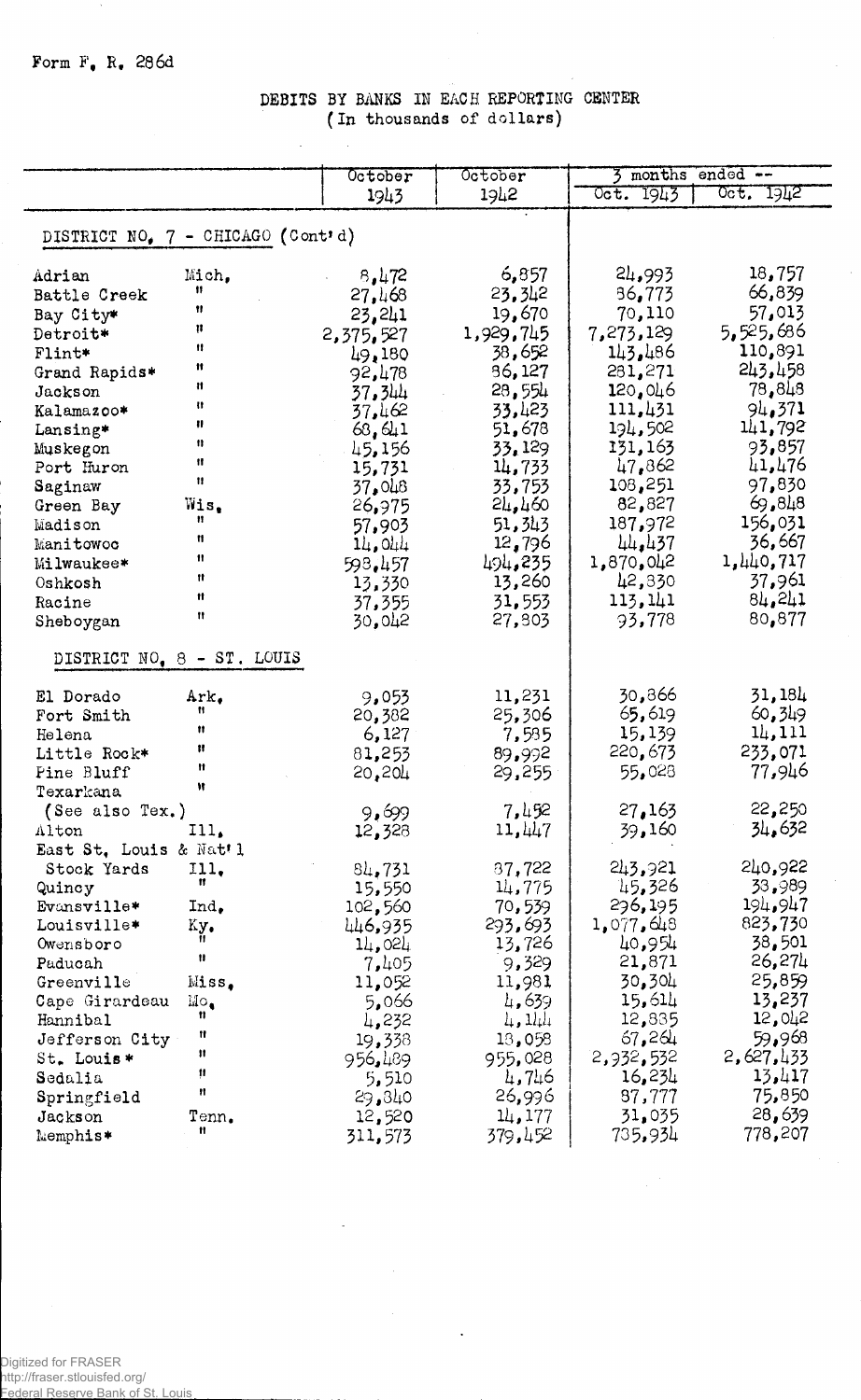## DEBITS BY BANKS IN EACH REPORTING CENTER (In thousands of dollars)

|                                   |                            | October   | October         | months<br>ended -- |           |
|-----------------------------------|----------------------------|-----------|-----------------|--------------------|-----------|
|                                   |                            | 1943      | 1942            | 1943<br>$0$ ct.    | Oct. 1942 |
|                                   |                            |           |                 |                    |           |
| DISTRICT NO, 7 - CHICAGO (Cont'd) |                            |           |                 |                    |           |
| Adrian                            | Mich,                      | 8,472     | 6,857           | 24,993             | 18,757    |
| Battle Creek                      | Ħ                          | 27,468    | 23,342          | 36,773             | 66,839    |
| Bay City*                         | Ħ                          | 23,241    | 19,670          | 70,110             | 57,013    |
| Detroit*                          | μ                          | 2,375,527 | 1,929,745       | 7,273,129          | 5,525,686 |
| Flint*                            | 11                         | 49,180    | 38,652          | 143,486            | 110,891   |
| Grand Rapids*                     | Ħ                          | 92,478    | 86,127          | 281,271            | 243,458   |
| Jackson                           | Ħ                          | 37,344    | 28,554          | 120,046            | 78,848    |
| Kalamazoo*                        | 11                         | 37,462    | 33,423          | 111,431            | 94.371    |
| Lansing*                          | Ħ                          | 63, 641   | 51,678          | 194,502            | 141,792   |
| Muskegon                          | n                          | 45,156    | 33, 129         | 131,163            | 93,857    |
| Port Huron                        | Ħ                          | 15,731    | 14,733          | 47,862             | 41,476    |
| Saginaw                           | Ħ                          | 37.048    | 33,753          | 108,251            | 97,830    |
| Green Bay                         | Wis.                       | 26,975    | $2\mu$ , 460    | 82,827             | 69,848    |
| Madison                           | n                          | 57,903    | 51,343          | 187,972            | 156,031   |
| Manitowoc                         | Ħ                          | 14,044    | 12,796          | 44.437             | 36,667    |
| Milwaukee*                        | 11                         | 598.457   | 494,235         | 1,870,042          | 1,440,717 |
| Oshkosh                           | Ħ                          | 13,330    | 13,260          | 42,830             | 37,961    |
| Racine                            | Ħ                          | 37,355    | 31,553          | 113,141            | 84,241    |
| Sheboygan                         | Ħ                          | 30,042    | 27,803          | 93,778             | 80,877    |
|                                   | DISTRICT NO, 8 - ST. LOUIS |           |                 |                    |           |
|                                   |                            |           |                 |                    |           |
| El Dorado                         | Ark.                       | 9,053     | 11,231          | 30,866             | 31,184    |
| Fort Smith                        | n                          | 20,382    | 25,306          | 65,619             | 60,349    |
| Helena                            | Ħ                          | 6,127     | 7,535           | 15,139             | 14,111    |
| Little Rock*                      | Ħ                          | 81,253    | 89,992          | 220,673            | 233,071   |
| Pine Bluff                        | Ħ                          | 20,204    | 29,255          | 55,028             | 77,946    |
| Texarkana                         | Ħ                          |           |                 |                    |           |
| (See also Tex.)                   |                            | 9,699     | 7,452           | 27,163             | 22,250    |
| Alton                             | III.                       | 12,328    | 11,447          | 39,160             | 34,632    |
| East St. Louis & Nat'l            |                            |           |                 |                    |           |
| Stock Yards Ill.                  |                            | 84,731    | 37,722          | 243,921            | 570,955   |
| Quincy                            | Ħ                          | 15,550    | 14,775          | 45,326             | 33,989    |
| Evansville*                       | $Ind_{\bullet}$            | 102,560   | 70,539          | 296,195            | 194,947   |
| Louisville*                       | Ky.                        | 446,935   | 293,693         | 1,077,648          | 823,730   |
| Owensboro                         | 11                         | 14,024    | 13,726          | 40,954             | 38,501    |
| Paducah                           | 11                         | 7,405     | 9,329           | 21,871             | 26,274    |
| Greenville                        | Miss.                      | 11,052    | 11,981          | 30,304             | 25,859    |
| Cape Girardeau                    | $_{\rm Mo}$                | 5,066     | 4,639           | 15,614             | 13,237    |
| Hannibal                          | Ħ                          | 4,232     | $\mu$ , $11\mu$ | 12,835             | 12,042    |
| Jefferson City                    | Ħ                          | 19,338    | 13,058          | 67,264             | 59,968    |
| St. Louis*                        | Ħ                          | 956,489   | 955,028         | 2,932,532          | 2,627,433 |
| Sedalia                           | Ħ                          | 5,510     | 4,746           | 16,234             | 13,417    |
| Springfield                       | Ħ                          | 29,340    | 26,996          | 87,777             | 75,850    |
| Jackson                           | $\texttt{Tem.}$            | 12,520    | 11, 177         | 31,035             | 28,639    |
| Memphis*                          | Ħ                          | 311,573   | 379,452         | 735,934            | 778,207   |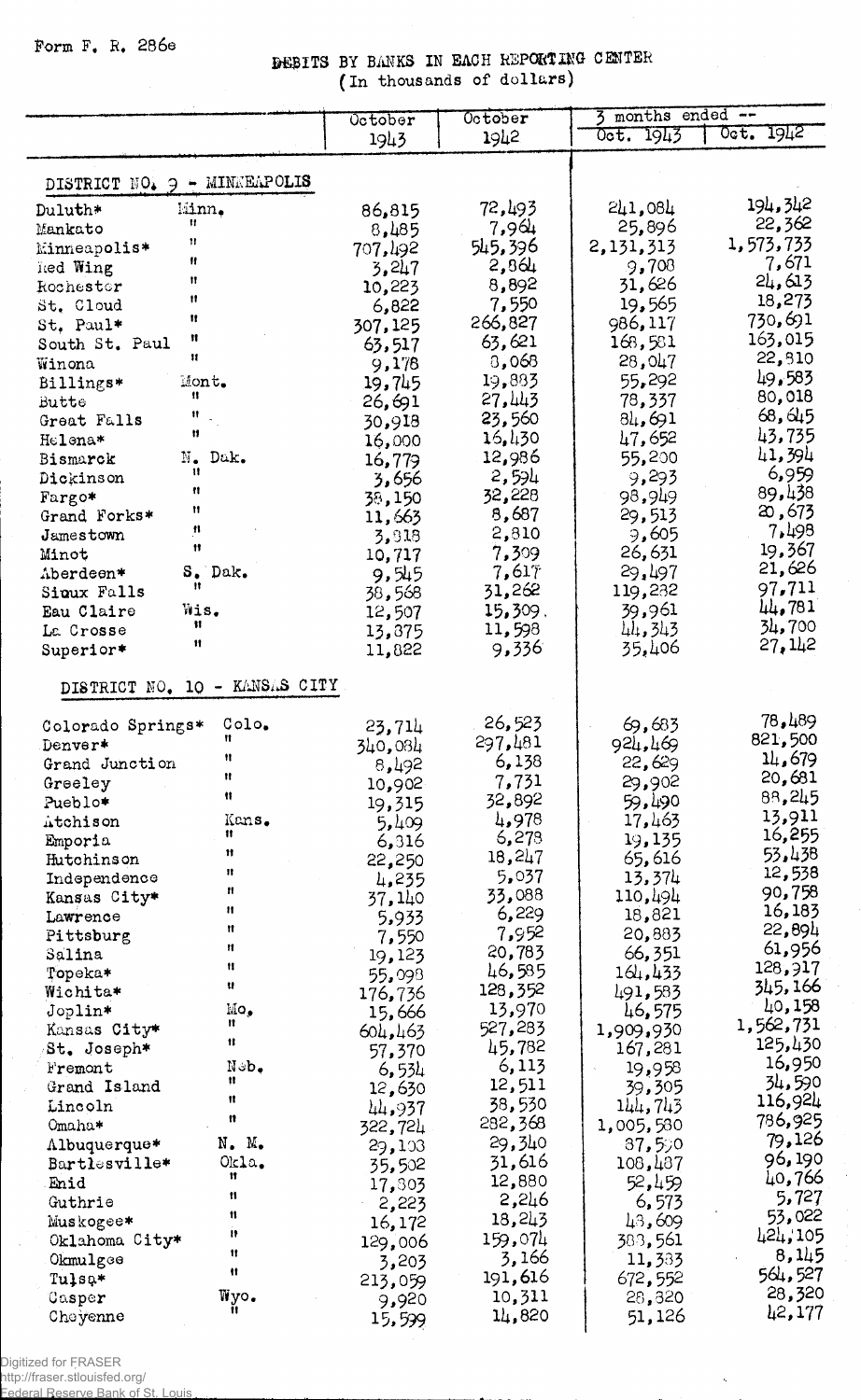Form F. R. 286e

# DEBITS BY BANKS IN EACH REPORTING CENTER (In thousands of dollars)

|                                   | October         | October          | $\overline{3}$ months ended $\overline{-}$ |           |
|-----------------------------------|-----------------|------------------|--------------------------------------------|-----------|
|                                   | 1943            | 1942             | Oct. 1943                                  | Oct. 1942 |
|                                   |                 |                  |                                            |           |
| DISTRICT NO. 9 - MINNEAPOLIS      |                 |                  |                                            |           |
|                                   |                 |                  |                                            | 194,342   |
| kiinn.<br>Duluth*<br>Ħ.           | 86,815          | 72,493           | 241,084                                    | 22,362    |
| Mankato<br>11                     | 8,485           | 7,964            | 25,896                                     | 1,573,733 |
| Minneapolis*<br>Ħ                 | 707,492         | 545,396          | 2,131,313                                  | 7,671     |
| Red Wing<br>Ħ                     | 3,247           | 2,864            | 9,708                                      | 24,613    |
| Rochestor<br>Ħ                    | 10,223          | 8,892            | 31,626<br>19,565                           | 18,273    |
| St. Cloud<br>Ħ                    | 6,822           | 7,550<br>266,827 | 986, 117                                   | 730,691   |
| St. Paul*<br>Ħ                    | 307,125         |                  | 168,581                                    | 163,015   |
| South St. Paul<br>$\mathbf{H}$    | 63,517          | 63,621<br>3,068  | 28,047                                     | 22,810    |
| Winona<br>Mont.                   | 9,178           | 19,883           | 55,292                                     | 49,583    |
| Billings*<br>11<br>Butte          | 19,745          | 27,443           | 78,337                                     | 80,018    |
| Ħ<br>Great Falls                  | 26,691          | 23,560           | 81,691                                     | 68, 645   |
| Ħ<br>Helena*                      | 30,918          | 16,430           | 47,652                                     | 43,735    |
| N. Dak.<br>Bismarck               | 16,000          | 12,986           | 55,200                                     | 41,394    |
| $\mathbf{u}$<br>Dickinson         | 16,779          | 2,594            | 9,293                                      | 6,959     |
| 11                                | 3,656           | 32,228           | 98,949                                     | 89,438    |
| Fargo*<br>Ħ<br>Grand Forks*       | 38,150          | 8,687            | 29,513                                     | 20,673    |
| $\pmb{\mathfrak{m}}$<br>Jamestown | 11,663          | 2,810            | 9,605                                      | 7,498     |
| $^{\dagger}$<br>Minot             | 3,818           | 7,309            | 26,631                                     | 19,367    |
| S. Dak.<br>Aberdeen*              | 10,717<br>9,545 | 7,617            | 29,497                                     | 21,626    |
| Ħ<br>Sioux Falls                  | 38,568          | 31,262           | 119,232                                    | 97,711    |
| Wis.<br>Eau Claire                | 12,507          | 15,309.          | 39,961                                     | 44,781    |
| Ħ<br>La Crosse                    | 13,375          | 11,598           | 44, 343                                    | 34,700    |
| $\mathbf{H}$<br>Superior*         | 11,822          | 9,336            | 35,406                                     | 27, 142   |
|                                   |                 |                  |                                            |           |
| DISTRICT NO. 10 - KANSAS CITY     |                 |                  |                                            |           |
|                                   |                 |                  |                                            |           |
| Colo.<br>Colorado Springs*        | 23,714          | 26,523           | 69,683                                     | 78,489    |
| Ħ<br>Denver*                      | 340,084         | 297,481          | 924,469                                    | 821,500   |
| Ħ<br>Grand Junction               | 8,492           | 6,138            | 22,629                                     | 14,679    |
| Ħ<br>Greeley                      | 10,902          | 7,731            | 29,902                                     | 20,681    |
| 11<br>Pueblo*                     | 19,315          | 32,892           | 59,490                                     | 88,245    |
| Kans.<br>Atchison                 | 5,409           | 4,978            | 17,463                                     | 13,911    |
| Ħ<br>Emporia                      | 6,316           | 6,278            | 19,135                                     | 16,255    |
| 11<br>Hutchinson                  | 22,250          | 18,247           | 65,616                                     | 53,438    |
| 11<br>Independence                | 4,235           | 5,037            | 13,374                                     | 12,538    |
| Ħ<br>Kansas City*                 | 37,140          | 33,088           | 110,494                                    | 90,758    |
| Ħ<br>Lawrence                     | 5,933           | 6,229            | 18,821                                     | 16,183    |
| Ħ<br>Pittsburg                    | 7,550           | 7,952            | 20,883                                     | 22,894    |
| п<br>Salina                       | 19,123          | 20,783           | 66,351                                     | 61,956    |
| Ħ<br>Topeka*                      | 55,098          | 46,585           | 164,433                                    | 128,917   |
| u<br>Wichita*                     | 176,736         | 128,352          | 491,583                                    | 345, 166  |
| Mo,<br>Joplin*                    | 15,666          | 13,970           | 46,575                                     | 40,158    |
| Ħ<br>Kansas City*                 | 604,463         | 527,283          | 1,909,930                                  | 1,562,731 |
| 11<br>St. Joseph*                 | 57,370          | 45,782           | 167,281                                    | 125,430   |
| Neb.<br>Fremont                   | 6,534           | 6,113            | 19,958                                     | 16,950    |
| Ħ<br>Grand Island                 | 12,630          | 12,511           | 39,305                                     | 34,590    |
| Ħ<br>Lincoln                      | 44,937          | 38,530           | 144,743                                    | 116,924   |
| n<br>Omaha*                       | 322,724         | 282,368          | 1,005,580                                  | 786,925   |
| N. M.<br>Albuquerque*             | 29,103          | 29,340           | 87,590                                     | 79,126    |
| Okla.<br>Bartlesville*            | 35,502          | 31,616           | 108,487                                    | 96,190    |
| Ħ<br>Enid                         | 17,803          | 12,880           | 52,459                                     | 40,766    |
| n<br>Guthrie                      | 2,223           | 5,246            | 6,573                                      | 5,727     |
| 11<br>Muskogee*                   | 16,172          | 18,243           | 43,609                                     | 53,022    |
| 11<br>Oklahoma City*              | 129,006         | 159,074          | 388,561                                    | 424,105   |
| Ħ<br>Okmulgee                     | 3,203           | 3,166            | 11,333                                     | 8,145     |
| Ħ<br>Tulsa*                       | 213,059         | 191,616          | 672,552                                    | 564,527   |
| Wyo.<br>$\mathtt{Gasper}$         | 9,920           | 10,311           | 28,320                                     | 28,320    |
| Cheyenne                          | 15,599          | 14,820           | 51,126                                     | 42,177    |

 $\hat{\mathcal{A}}$ 

À,

 $\bar{z}$ 

Digitized for FRASER<br>http://fraser.stlouisfed.org/<br>Eederal Reserve Bank of St. Louis.